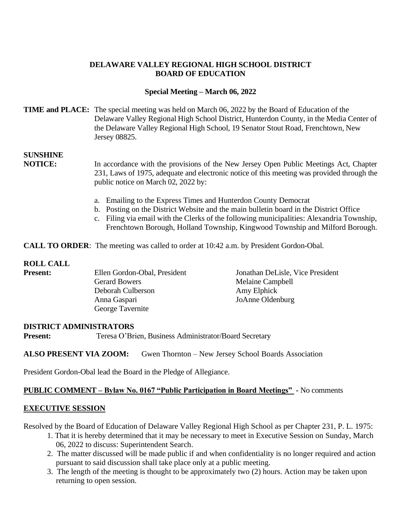## **DELAWARE VALLEY REGIONAL HIGH SCHOOL DISTRICT BOARD OF EDUCATION**

## **Special Meeting – March 06, 2022**

## **TIME and PLACE:** The special meeting was held on March 06, 2022 by the Board of Education of the Delaware Valley Regional High School District, Hunterdon County, in the Media Center of the Delaware Valley Regional High School, 19 Senator Stout Road, Frenchtown, New Jersey 08825.

# **SUNSHINE**

**NOTICE:** In accordance with the provisions of the New Jersey Open Public Meetings Act, Chapter 231, Laws of 1975, adequate and electronic notice of this meeting was provided through the public notice on March 02, 2022 by:

- a. Emailing to the Express Times and Hunterdon County Democrat
- b. Posting on the District Website and the main bulletin board in the District Office
- c. Filing via email with the Clerks of the following municipalities: Alexandria Township, Frenchtown Borough, Holland Township, Kingwood Township and Milford Borough.

**CALL TO ORDER**: The meeting was called to order at 10:42 a.m. by President Gordon-Obal.

#### **ROLL CALL**

| <b>Present:</b> | Ellen Gordon-Obal, President | Jonathan DeLisle, Vice President |
|-----------------|------------------------------|----------------------------------|
|                 | <b>Gerard Bowers</b>         | Melaine Campbell                 |
|                 | Deborah Culberson            | Amy Elphick                      |
|                 | Anna Gaspari                 | JoAnne Oldenburg                 |
|                 | George Tavernite             |                                  |

#### **DISTRICT ADMINISTRATORS**

**Present:** Teresa O'Brien, Business Administrator/Board Secretary

#### **ALSO PRESENT VIA ZOOM:** Gwen Thornton – New Jersey School Boards Association

President Gordon-Obal lead the Board in the Pledge of Allegiance.

#### **PUBLIC COMMENT – Bylaw No. 0167 "Public Participation in Board Meetings" -** No comments

#### **EXECUTIVE SESSION**

Resolved by the Board of Education of Delaware Valley Regional High School as per Chapter 231, P. L. 1975:

- 1. That it is hereby determined that it may be necessary to meet in Executive Session on Sunday, March 06, 2022 to discuss: Superintendent Search.
- 2. The matter discussed will be made public if and when confidentiality is no longer required and action pursuant to said discussion shall take place only at a public meeting.
- 3. The length of the meeting is thought to be approximately two (2) hours. Action may be taken upon returning to open session.